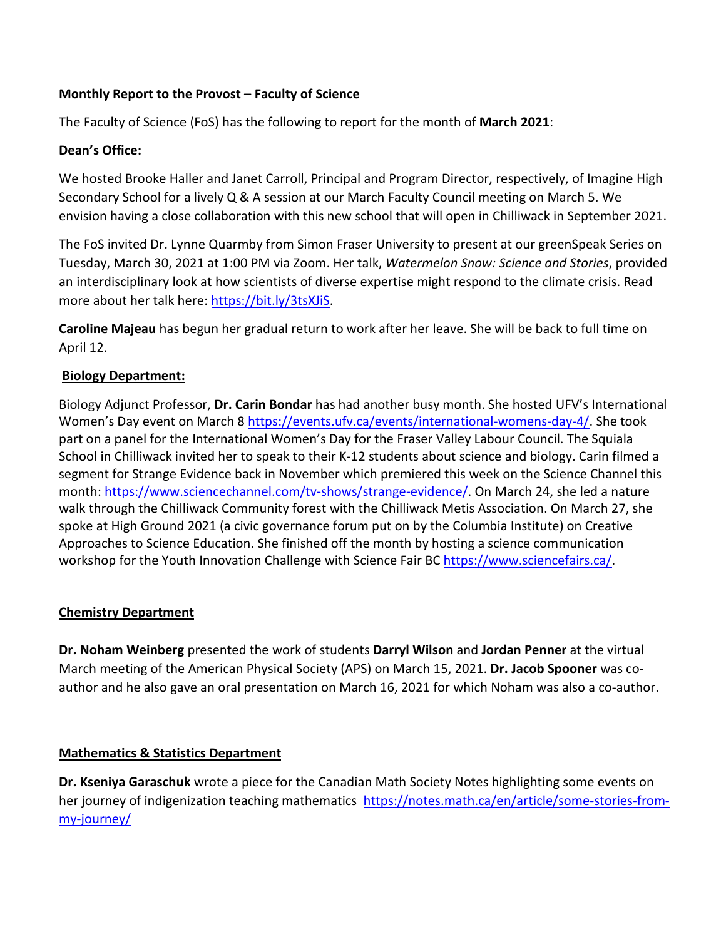# **Monthly Report to the Provost – Faculty of Science**

The Faculty of Science (FoS) has the following to report for the month of **March 2021**:

### **Dean's Office:**

We hosted Brooke Haller and Janet Carroll, Principal and Program Director, respectively, of Imagine High Secondary School for a lively Q & A session at our March Faculty Council meeting on March 5. We envision having a close collaboration with this new school that will open in Chilliwack in September 2021.

The FoS invited Dr. Lynne Quarmby from Simon Fraser University to present at our greenSpeak Series on Tuesday, March 30, 2021 at 1:00 PM via Zoom. Her talk, *Watermelon Snow: Science and Stories*, provided an interdisciplinary look at how scientists of diverse expertise might respond to the climate crisis. Read more about her talk here: [https://bit.ly/3tsXJiS.](https://bit.ly/3tsXJiS)

**Caroline Majeau** has begun her gradual return to work after her leave. She will be back to full time on April 12.

## **Biology Department:**

Biology Adjunct Professor, **Dr. Carin Bondar** has had another busy month. She hosted UFV's International Women's Day event on March 8 [https://events.ufv.ca/events/international-womens-day-4/.](https://events.ufv.ca/events/international-womens-day-4/) She took part on a panel for the International Women's Day for the Fraser Valley Labour Council. The Squiala School in Chilliwack invited her to speak to their K-12 students about science and biology. Carin filmed a segment for Strange Evidence back in November which premiered this week on the Science Channel this month: [https://www.sciencechannel.com/tv-shows/strange-evidence/.](https://www.sciencechannel.com/tv-shows/strange-evidence/) On March 24, she led a nature walk through the Chilliwack Community forest with the Chilliwack Metis Association. On March 27, she spoke at High Ground 2021 (a civic governance forum put on by the Columbia Institute) on Creative Approaches to Science Education. She finished off the month by hosting a science communication workshop for the Youth Innovation Challenge with Science Fair BC [https://www.sciencefairs.ca/.](https://www.sciencefairs.ca/)

#### **Chemistry Department**

**Dr. Noham Weinberg** presented the work of students **Darryl Wilson** and **Jordan Penner** at the virtual March meeting of the American Physical Society (APS) on March 15, 2021. **Dr. Jacob Spooner** was coauthor and he also gave an oral presentation on March 16, 2021 for which Noham was also a co-author.

#### **Mathematics & Statistics Department**

**Dr. Kseniya Garaschuk** wrote a piece for the Canadian Math Society Notes highlighting some events on her journey of indigenization teaching mathematics [https://notes.math.ca/en/article/some-stories-from](https://notes.math.ca/en/article/some-stories-from-my-journey/)[my-journey/](https://notes.math.ca/en/article/some-stories-from-my-journey/)